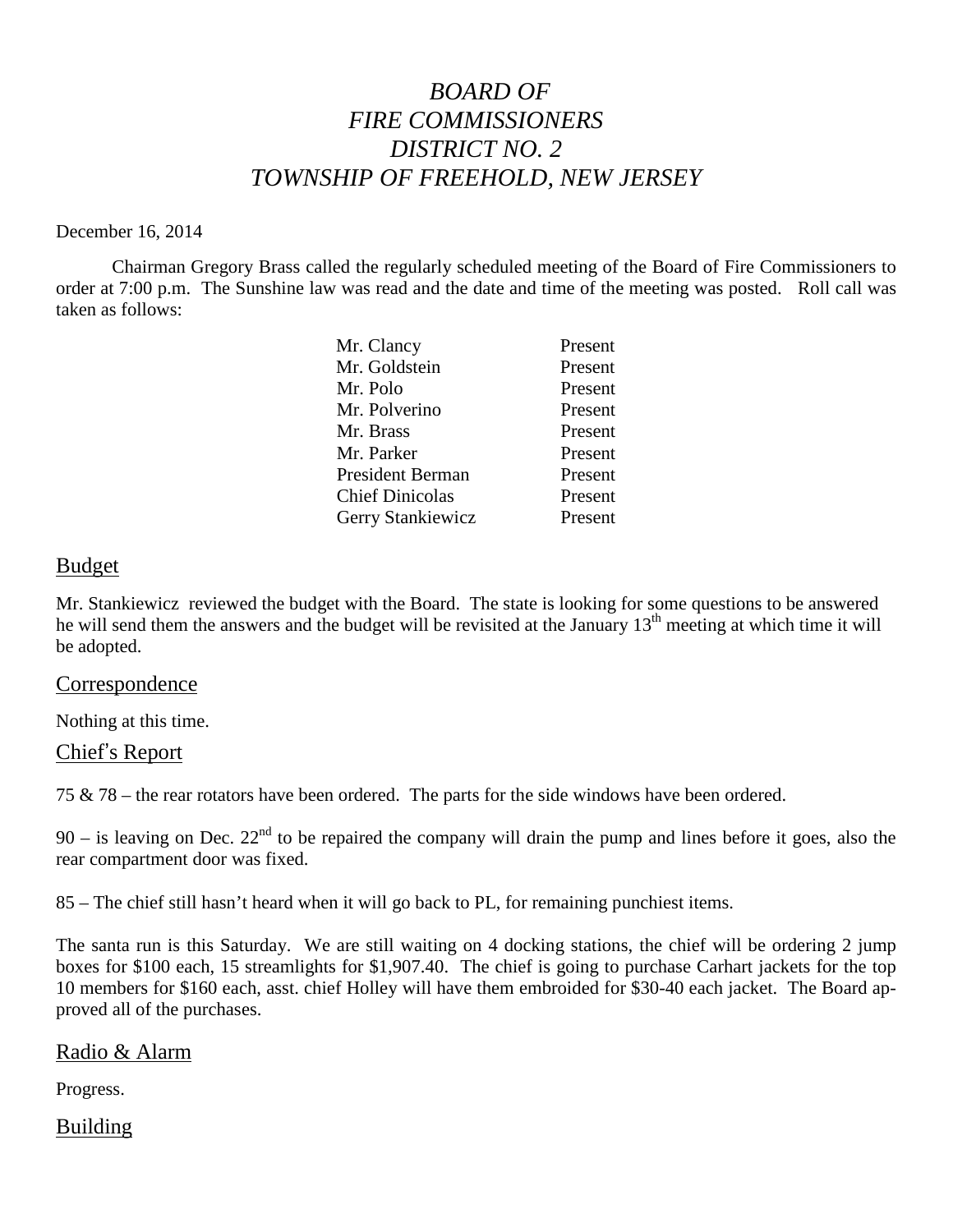# *BOARD OF FIRE COMMISSIONERS DISTRICT NO. 2 TOWNSHIP OF FREEHOLD, NEW JERSEY*

#### December 16, 2014

Chairman Gregory Brass called the regularly scheduled meeting of the Board of Fire Commissioners to order at 7:00 p.m. The Sunshine law was read and the date and time of the meeting was posted. Roll call was taken as follows:

| Mr. Clancy             | Present |
|------------------------|---------|
| Mr. Goldstein          | Present |
| Mr. Polo               | Present |
| Mr. Polverino          | Present |
| Mr. Brass              | Present |
| Mr. Parker             | Present |
| President Berman       | Present |
| <b>Chief Dinicolas</b> | Present |
| Gerry Stankiewicz      | Present |

#### Budget

Mr. Stankiewicz reviewed the budget with the Board. The state is looking for some questions to be answered he will send them the answers and the budget will be revisited at the January  $13<sup>th</sup>$  meeting at which time it will be adopted.

### Correspondence

Nothing at this time.

### Chief's Report

75 & 78 – the rear rotators have been ordered. The parts for the side windows have been ordered.

90 – is leaving on Dec.  $22<sup>nd</sup>$  to be repaired the company will drain the pump and lines before it goes, also the rear compartment door was fixed.

85 – The chief still hasn't heard when it will go back to PL, for remaining punchiest items.

The santa run is this Saturday. We are still waiting on 4 docking stations, the chief will be ordering 2 jump boxes for \$100 each, 15 streamlights for \$1,907.40. The chief is going to purchase Carhart jackets for the top 10 members for \$160 each, asst. chief Holley will have them embroided for \$30-40 each jacket. The Board approved all of the purchases.

### Radio & Alarm

Progress.

## Building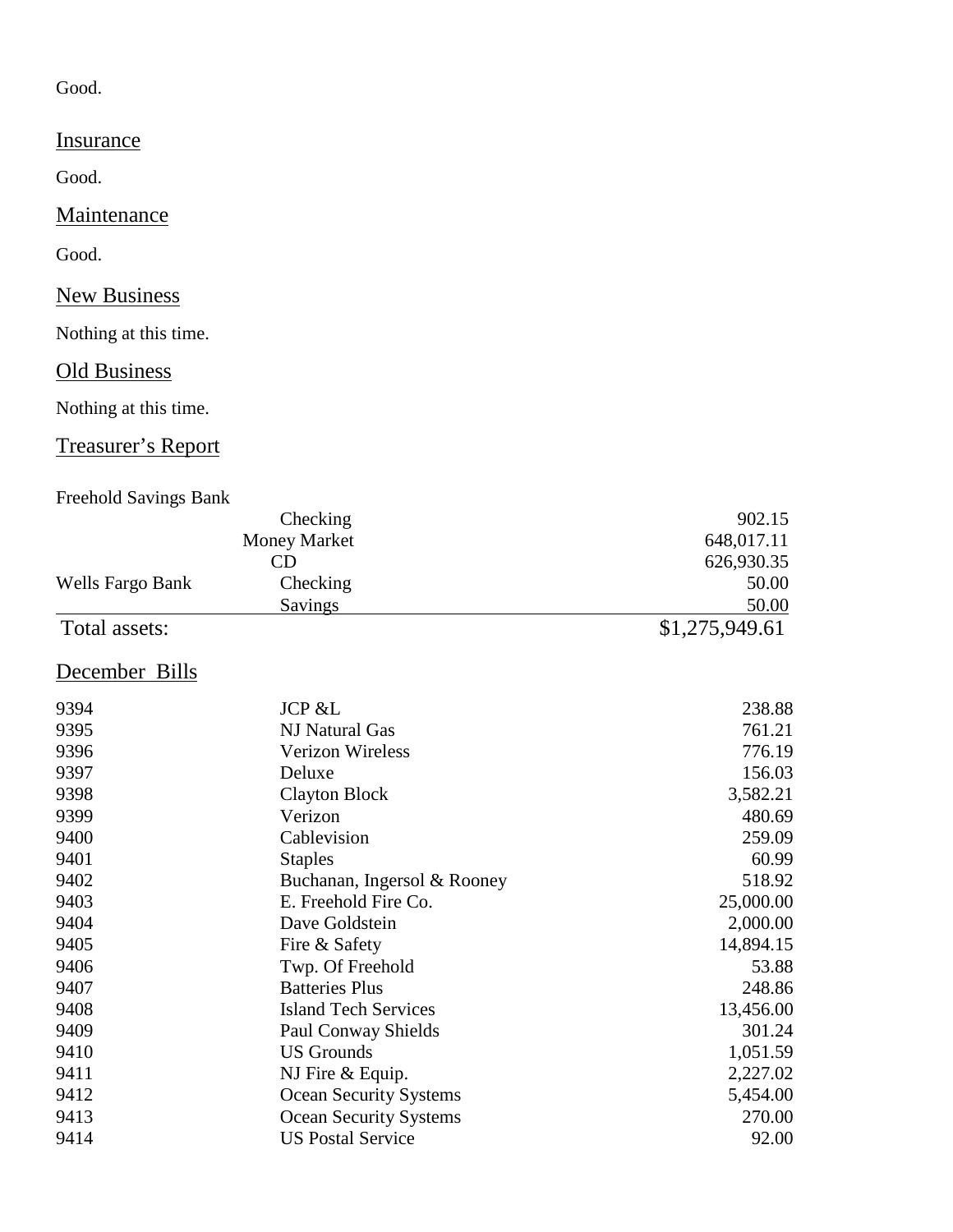## Good.

# **Insurance**

Good.

## **Maintenance**

Good.

# **New Business**

Nothing at this time.

## **Old Business**

Nothing at this time.

# Treasurer's Report

## Freehold Savings Bank

|                  | Checking            | 902.15         |
|------------------|---------------------|----------------|
|                  | <b>Money Market</b> | 648,017.11     |
|                  | CD                  | 626,930.35     |
| Wells Fargo Bank | Checking            | 50.00          |
|                  | Savings             | 50.00          |
| Total assets:    |                     | \$1,275,949.61 |

# December Bills

| 9394 | <b>JCP &amp;L</b>             | 238.88    |
|------|-------------------------------|-----------|
| 9395 | NJ Natural Gas                | 761.21    |
| 9396 | Verizon Wireless              | 776.19    |
| 9397 | Deluxe                        | 156.03    |
| 9398 | Clayton Block                 | 3,582.21  |
| 9399 | Verizon                       | 480.69    |
| 9400 | Cablevision                   | 259.09    |
| 9401 | <b>Staples</b>                | 60.99     |
| 9402 | Buchanan, Ingersol & Rooney   | 518.92    |
| 9403 | E. Freehold Fire Co.          | 25,000.00 |
| 9404 | Dave Goldstein                | 2,000.00  |
| 9405 | Fire & Safety                 | 14,894.15 |
| 9406 | Twp. Of Freehold              | 53.88     |
| 9407 | <b>Batteries Plus</b>         | 248.86    |
| 9408 | <b>Island Tech Services</b>   | 13,456.00 |
| 9409 | <b>Paul Conway Shields</b>    | 301.24    |
| 9410 | <b>US Grounds</b>             | 1,051.59  |
| 9411 | NJ Fire & Equip.              | 2,227.02  |
| 9412 | <b>Ocean Security Systems</b> | 5,454.00  |
| 9413 | <b>Ocean Security Systems</b> | 270.00    |
| 9414 | <b>US Postal Service</b>      | 92.00     |
|      |                               |           |